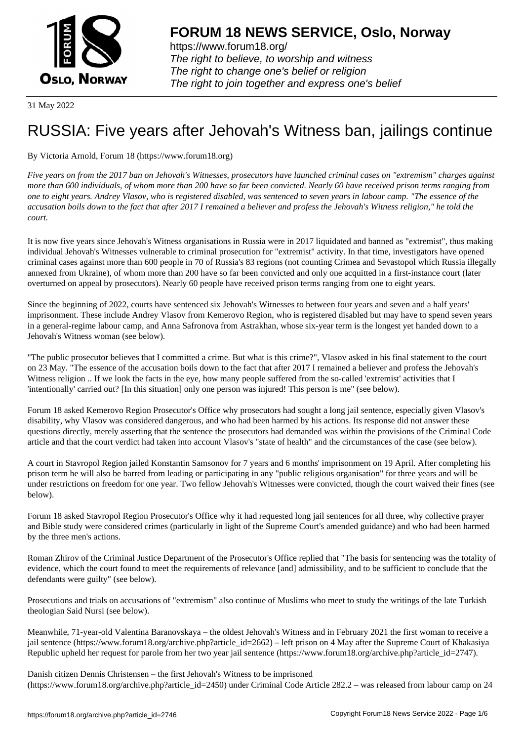

https://www.forum18.org/ The right to believe, to worship and witness The right to change one's belief or religion [The right to join together a](https://www.forum18.org/)nd express one's belief

31 May 2022

# [RUSSIA: Five y](https://www.forum18.org)ears after Jehovah's Witness ban, jailings continue

# By Victoria Arnold, Forum 18 (https://www.forum18.org)

*Five years on from the 2017 ban on Jehovah's Witnesses, prosecutors have launched criminal cases on "extremism" charges against more than 600 individuals, of whom more than 200 have so far been convicted. Nearly 60 have received prison terms ranging from one to eight years. Andrey Vlasov, who is registered disabled, was sentenced to seven years in labour camp. "The essence of the accusation boils down to the fact that after 2017 I remained a believer and profess the Jehovah's Witness religion," he told the court.*

It is now five years since Jehovah's Witness organisations in Russia were in 2017 liquidated and banned as "extremist", thus making individual Jehovah's Witnesses vulnerable to criminal prosecution for "extremist" activity. In that time, investigators have opened criminal cases against more than 600 people in 70 of Russia's 83 regions (not counting Crimea and Sevastopol which Russia illegally annexed from Ukraine), of whom more than 200 have so far been convicted and only one acquitted in a first-instance court (later overturned on appeal by prosecutors). Nearly 60 people have received prison terms ranging from one to eight years.

Since the beginning of 2022, courts have sentenced six Jehovah's Witnesses to between four years and seven and a half years' imprisonment. These include Andrey Vlasov from Kemerovo Region, who is registered disabled but may have to spend seven years in a general-regime labour camp, and Anna Safronova from Astrakhan, whose six-year term is the longest yet handed down to a Jehovah's Witness woman (see below).

"The public prosecutor believes that I committed a crime. But what is this crime?", Vlasov asked in his final statement to the court on 23 May. "The essence of the accusation boils down to the fact that after 2017 I remained a believer and profess the Jehovah's Witness religion .. If we look the facts in the eye, how many people suffered from the so-called 'extremist' activities that I 'intentionally' carried out? [In this situation] only one person was injured! This person is me" (see below).

Forum 18 asked Kemerovo Region Prosecutor's Office why prosecutors had sought a long jail sentence, especially given Vlasov's disability, why Vlasov was considered dangerous, and who had been harmed by his actions. Its response did not answer these questions directly, merely asserting that the sentence the prosecutors had demanded was within the provisions of the Criminal Code article and that the court verdict had taken into account Vlasov's "state of health" and the circumstances of the case (see below).

A court in Stavropol Region jailed Konstantin Samsonov for 7 years and 6 months' imprisonment on 19 April. After completing his prison term he will also be barred from leading or participating in any "public religious organisation" for three years and will be under restrictions on freedom for one year. Two fellow Jehovah's Witnesses were convicted, though the court waived their fines (see below).

Forum 18 asked Stavropol Region Prosecutor's Office why it had requested long jail sentences for all three, why collective prayer and Bible study were considered crimes (particularly in light of the Supreme Court's amended guidance) and who had been harmed by the three men's actions.

Roman Zhirov of the Criminal Justice Department of the Prosecutor's Office replied that "The basis for sentencing was the totality of evidence, which the court found to meet the requirements of relevance [and] admissibility, and to be sufficient to conclude that the defendants were guilty" (see below).

Prosecutions and trials on accusations of "extremism" also continue of Muslims who meet to study the writings of the late Turkish theologian Said Nursi (see below).

Meanwhile, 71-year-old Valentina Baranovskaya – the oldest Jehovah's Witness and in February 2021 the first woman to receive a jail sentence (https://www.forum18.org/archive.php?article\_id=2662) – left prison on 4 May after the Supreme Court of Khakasiya Republic upheld her request for parole from her two year jail sentence (https://www.forum18.org/archive.php?article\_id=2747).

Danish citizen Dennis Christensen – the first Jehovah's Witness to be imprisoned (https://www.forum18.org/archive.php?article\_id=2450) under Criminal Code Article 282.2 – was released from labour camp on 24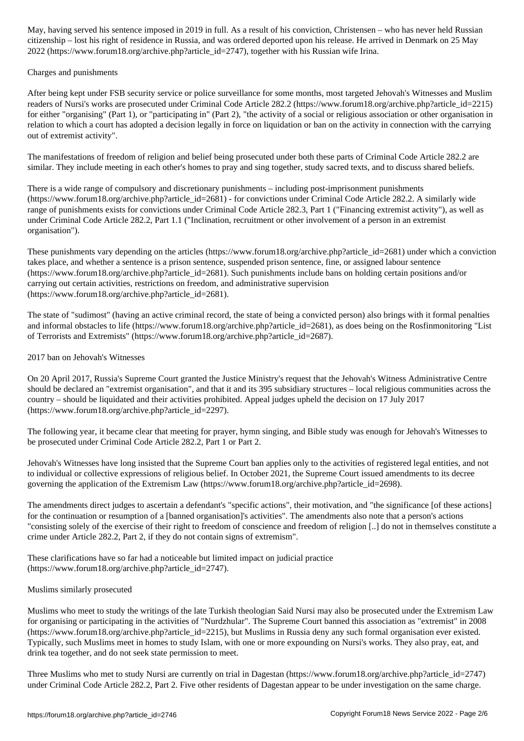citizenship – lost his right of residence in Russia, and was ordered deported upon his release. He arrived in Denmark on 25 May 2022 (https://www.forum18.org/archive.php?article\_id=2747), together with his Russian wife Irina.

#### Charges and punishments

After being kept under FSB security service or police surveillance for some months, most targeted Jehovah's Witnesses and Muslim readers of Nursi's works are prosecuted under Criminal Code Article 282.2 (https://www.forum18.org/archive.php?article\_id=2215) for either "organising" (Part 1), or "participating in" (Part 2), "the activity of a social or religious association or other organisation in relation to which a court has adopted a decision legally in force on liquidation or ban on the activity in connection with the carrying out of extremist activity".

The manifestations of freedom of religion and belief being prosecuted under both these parts of Criminal Code Article 282.2 are similar. They include meeting in each other's homes to pray and sing together, study sacred texts, and to discuss shared beliefs.

There is a wide range of compulsory and discretionary punishments – including post-imprisonment punishments (https://www.forum18.org/archive.php?article\_id=2681) - for convictions under Criminal Code Article 282.2. A similarly wide range of punishments exists for convictions under Criminal Code Article 282.3, Part 1 ("Financing extremist activity"), as well as under Criminal Code Article 282.2, Part 1.1 ("Inclination, recruitment or other involvement of a person in an extremist organisation").

These punishments vary depending on the articles (https://www.forum18.org/archive.php?article\_id=2681) under which a conviction takes place, and whether a sentence is a prison sentence, suspended prison sentence, fine, or assigned labour sentence (https://www.forum18.org/archive.php?article\_id=2681). Such punishments include bans on holding certain positions and/or carrying out certain activities, restrictions on freedom, and administrative supervision (https://www.forum18.org/archive.php?article\_id=2681).

The state of "sudimost" (having an active criminal record, the state of being a convicted person) also brings with it formal penalties and informal obstacles to life (https://www.forum18.org/archive.php?article\_id=2681), as does being on the Rosfinmonitoring "List of Terrorists and Extremists" (https://www.forum18.org/archive.php?article\_id=2687).

## 2017 ban on Jehovah's Witnesses

On 20 April 2017, Russia's Supreme Court granted the Justice Ministry's request that the Jehovah's Witness Administrative Centre should be declared an "extremist organisation", and that it and its 395 subsidiary structures – local religious communities across the country – should be liquidated and their activities prohibited. Appeal judges upheld the decision on 17 July 2017 (https://www.forum18.org/archive.php?article\_id=2297).

The following year, it became clear that meeting for prayer, hymn singing, and Bible study was enough for Jehovah's Witnesses to be prosecuted under Criminal Code Article 282.2, Part 1 or Part 2.

Jehovah's Witnesses have long insisted that the Supreme Court ban applies only to the activities of registered legal entities, and not to individual or collective expressions of religious belief. In October 2021, the Supreme Court issued amendments to its decree governing the application of the Extremism Law (https://www.forum18.org/archive.php?article\_id=2698).

The amendments direct judges to ascertain a defendant's "specific actions", their motivation, and "the significance [of these actions] for the continuation or resumption of a [banned organisation]'s activities". The amendments also note that a person's actions "consisting solely of the exercise of their right to freedom of conscience and freedom of religion [..] do not in themselves constitute a crime under Article 282.2, Part 2, if they do not contain signs of extremism".

These clarifications have so far had a noticeable but limited impact on judicial practice (https://www.forum18.org/archive.php?article\_id=2747).

## Muslims similarly prosecuted

Muslims who meet to study the writings of the late Turkish theologian Said Nursi may also be prosecuted under the Extremism Law for organising or participating in the activities of "Nurdzhular". The Supreme Court banned this association as "extremist" in 2008 (https://www.forum18.org/archive.php?article\_id=2215), but Muslims in Russia deny any such formal organisation ever existed. Typically, such Muslims meet in homes to study Islam, with one or more expounding on Nursi's works. They also pray, eat, and drink tea together, and do not seek state permission to meet.

Three Muslims who met to study Nursi are currently on trial in Dagestan (https://www.forum18.org/archive.php?article\_id=2747) under Criminal Code Article 282.2, Part 2. Five other residents of Dagestan appear to be under investigation on the same charge.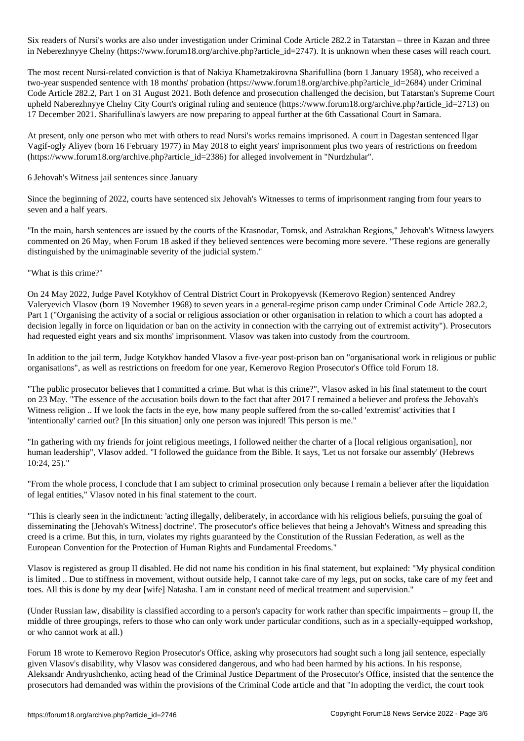Six readers of Nursi's works are also under investigation under Criminal Code Article 282.2 in Tatarstan – three in Kazan and three in Neberezhnyye Chelny (https://www.forum18.org/archive.php?article\_id=2747). It is unknown when these cases will reach court.

The most recent Nursi-related conviction is that of Nakiya Khametzakirovna Sharifullina (born 1 January 1958), who received a two-year suspended sentence with 18 months' probation (https://www.forum18.org/archive.php?article\_id=2684) under Criminal Code Article 282.2, Part 1 on 31 August 2021. Both defence and prosecution challenged the decision, but Tatarstan's Supreme Court upheld Naberezhnyye Chelny City Court's original ruling and sentence (https://www.forum18.org/archive.php?article\_id=2713) on 17 December 2021. Sharifullina's lawyers are now preparing to appeal further at the 6th Cassational Court in Samara.

At present, only one person who met with others to read Nursi's works remains imprisoned. A court in Dagestan sentenced Ilgar Vagif-ogly Aliyev (born 16 February 1977) in May 2018 to eight years' imprisonment plus two years of restrictions on freedom (https://www.forum18.org/archive.php?article\_id=2386) for alleged involvement in "Nurdzhular".

6 Jehovah's Witness jail sentences since January

Since the beginning of 2022, courts have sentenced six Jehovah's Witnesses to terms of imprisonment ranging from four years to seven and a half years.

"In the main, harsh sentences are issued by the courts of the Krasnodar, Tomsk, and Astrakhan Regions," Jehovah's Witness lawyers commented on 26 May, when Forum 18 asked if they believed sentences were becoming more severe. "These regions are generally distinguished by the unimaginable severity of the judicial system."

"What is this crime?"

On 24 May 2022, Judge Pavel Kotykhov of Central District Court in Prokopyevsk (Kemerovo Region) sentenced Andrey Valeryevich Vlasov (born 19 November 1968) to seven years in a general-regime prison camp under Criminal Code Article 282.2, Part 1 ("Organising the activity of a social or religious association or other organisation in relation to which a court has adopted a decision legally in force on liquidation or ban on the activity in connection with the carrying out of extremist activity"). Prosecutors had requested eight years and six months' imprisonment. Vlasov was taken into custody from the courtroom.

In addition to the jail term, Judge Kotykhov handed Vlasov a five-year post-prison ban on "organisational work in religious or public organisations", as well as restrictions on freedom for one year, Kemerovo Region Prosecutor's Office told Forum 18.

"The public prosecutor believes that I committed a crime. But what is this crime?", Vlasov asked in his final statement to the court on 23 May. "The essence of the accusation boils down to the fact that after 2017 I remained a believer and profess the Jehovah's Witness religion .. If we look the facts in the eye, how many people suffered from the so-called 'extremist' activities that I 'intentionally' carried out? [In this situation] only one person was injured! This person is me."

"In gathering with my friends for joint religious meetings, I followed neither the charter of a [local religious organisation], nor human leadership", Vlasov added. "I followed the guidance from the Bible. It says, 'Let us not forsake our assembly' (Hebrews 10:24, 25)."

"From the whole process, I conclude that I am subject to criminal prosecution only because I remain a believer after the liquidation of legal entities," Vlasov noted in his final statement to the court.

"This is clearly seen in the indictment: 'acting illegally, deliberately, in accordance with his religious beliefs, pursuing the goal of disseminating the [Jehovah's Witness] doctrine'. The prosecutor's office believes that being a Jehovah's Witness and spreading this creed is a crime. But this, in turn, violates my rights guaranteed by the Constitution of the Russian Federation, as well as the European Convention for the Protection of Human Rights and Fundamental Freedoms."

Vlasov is registered as group II disabled. He did not name his condition in his final statement, but explained: "My physical condition is limited .. Due to stiffness in movement, without outside help, I cannot take care of my legs, put on socks, take care of my feet and toes. All this is done by my dear [wife] Natasha. I am in constant need of medical treatment and supervision."

(Under Russian law, disability is classified according to a person's capacity for work rather than specific impairments – group II, the middle of three groupings, refers to those who can only work under particular conditions, such as in a specially-equipped workshop, or who cannot work at all.)

Forum 18 wrote to Kemerovo Region Prosecutor's Office, asking why prosecutors had sought such a long jail sentence, especially given Vlasov's disability, why Vlasov was considered dangerous, and who had been harmed by his actions. In his response, Aleksandr Andryushchenko, acting head of the Criminal Justice Department of the Prosecutor's Office, insisted that the sentence the prosecutors had demanded was within the provisions of the Criminal Code article and that "In adopting the verdict, the court took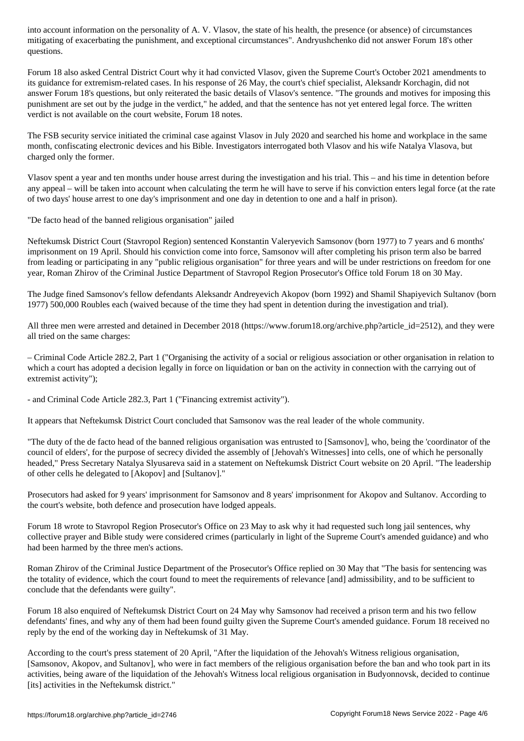mitigating of exacerbating the punishment, and exceptional circumstances". Andryushchenko did not answer Forum 18's other questions.

Forum 18 also asked Central District Court why it had convicted Vlasov, given the Supreme Court's October 2021 amendments to its guidance for extremism-related cases. In his response of 26 May, the court's chief specialist, Aleksandr Korchagin, did not answer Forum 18's questions, but only reiterated the basic details of Vlasov's sentence. "The grounds and motives for imposing this punishment are set out by the judge in the verdict," he added, and that the sentence has not yet entered legal force. The written verdict is not available on the court website, Forum 18 notes.

The FSB security service initiated the criminal case against Vlasov in July 2020 and searched his home and workplace in the same month, confiscating electronic devices and his Bible. Investigators interrogated both Vlasov and his wife Natalya Vlasova, but charged only the former.

Vlasov spent a year and ten months under house arrest during the investigation and his trial. This – and his time in detention before any appeal – will be taken into account when calculating the term he will have to serve if his conviction enters legal force (at the rate of two days' house arrest to one day's imprisonment and one day in detention to one and a half in prison).

"De facto head of the banned religious organisation" jailed

Neftekumsk District Court (Stavropol Region) sentenced Konstantin Valeryevich Samsonov (born 1977) to 7 years and 6 months' imprisonment on 19 April. Should his conviction come into force, Samsonov will after completing his prison term also be barred from leading or participating in any "public religious organisation" for three years and will be under restrictions on freedom for one year, Roman Zhirov of the Criminal Justice Department of Stavropol Region Prosecutor's Office told Forum 18 on 30 May.

The Judge fined Samsonov's fellow defendants Aleksandr Andreyevich Akopov (born 1992) and Shamil Shapiyevich Sultanov (born 1977) 500,000 Roubles each (waived because of the time they had spent in detention during the investigation and trial).

All three men were arrested and detained in December 2018 (https://www.forum18.org/archive.php?article\_id=2512), and they were all tried on the same charges:

– Criminal Code Article 282.2, Part 1 ("Organising the activity of a social or religious association or other organisation in relation to which a court has adopted a decision legally in force on liquidation or ban on the activity in connection with the carrying out of extremist activity");

- and Criminal Code Article 282.3, Part 1 ("Financing extremist activity").

It appears that Neftekumsk District Court concluded that Samsonov was the real leader of the whole community.

"The duty of the de facto head of the banned religious organisation was entrusted to [Samsonov], who, being the 'coordinator of the council of elders', for the purpose of secrecy divided the assembly of [Jehovah's Witnesses] into cells, one of which he personally headed," Press Secretary Natalya Slyusareva said in a statement on Neftekumsk District Court website on 20 April. "The leadership of other cells he delegated to [Akopov] and [Sultanov]."

Prosecutors had asked for 9 years' imprisonment for Samsonov and 8 years' imprisonment for Akopov and Sultanov. According to the court's website, both defence and prosecution have lodged appeals.

Forum 18 wrote to Stavropol Region Prosecutor's Office on 23 May to ask why it had requested such long jail sentences, why collective prayer and Bible study were considered crimes (particularly in light of the Supreme Court's amended guidance) and who had been harmed by the three men's actions.

Roman Zhirov of the Criminal Justice Department of the Prosecutor's Office replied on 30 May that "The basis for sentencing was the totality of evidence, which the court found to meet the requirements of relevance [and] admissibility, and to be sufficient to conclude that the defendants were guilty".

Forum 18 also enquired of Neftekumsk District Court on 24 May why Samsonov had received a prison term and his two fellow defendants' fines, and why any of them had been found guilty given the Supreme Court's amended guidance. Forum 18 received no reply by the end of the working day in Neftekumsk of 31 May.

According to the court's press statement of 20 April, "After the liquidation of the Jehovah's Witness religious organisation, [Samsonov, Akopov, and Sultanov], who were in fact members of the religious organisation before the ban and who took part in its activities, being aware of the liquidation of the Jehovah's Witness local religious organisation in Budyonnovsk, decided to continue [its] activities in the Neftekumsk district."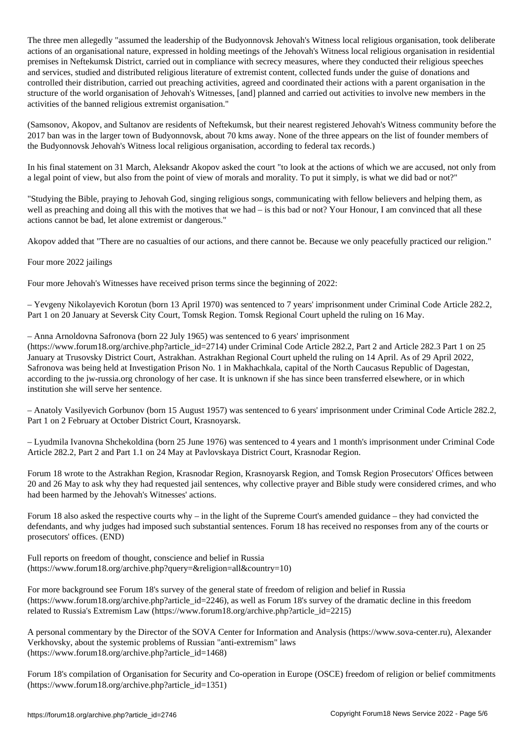The three men allegedly "assumed the leadership of the Budyonnovsk Jehovah's Witness local religious organisation, took deliberate actions of an organisational nature, expressed in holding meetings of the Jehovah's Witness local religious organisation in residential premises in Neftekumsk District, carried out in compliance with secrecy measures, where they conducted their religious speeches and services, studied and distributed religious literature of extremist content, collected funds under the guise of donations and controlled their distribution, carried out preaching activities, agreed and coordinated their actions with a parent organisation in the structure of the world organisation of Jehovah's Witnesses, [and] planned and carried out activities to involve new members in the activities of the banned religious extremist organisation."

(Samsonov, Akopov, and Sultanov are residents of Neftekumsk, but their nearest registered Jehovah's Witness community before the 2017 ban was in the larger town of Budyonnovsk, about 70 kms away. None of the three appears on the list of founder members of the Budyonnovsk Jehovah's Witness local religious organisation, according to federal tax records.)

In his final statement on 31 March, Aleksandr Akopov asked the court "to look at the actions of which we are accused, not only from a legal point of view, but also from the point of view of morals and morality. To put it simply, is what we did bad or not?"

"Studying the Bible, praying to Jehovah God, singing religious songs, communicating with fellow believers and helping them, as well as preaching and doing all this with the motives that we had – is this bad or not? Your Honour, I am convinced that all these actions cannot be bad, let alone extremist or dangerous."

Akopov added that "There are no casualties of our actions, and there cannot be. Because we only peacefully practiced our religion."

Four more 2022 jailings

Four more Jehovah's Witnesses have received prison terms since the beginning of 2022:

– Yevgeny Nikolayevich Korotun (born 13 April 1970) was sentenced to 7 years' imprisonment under Criminal Code Article 282.2, Part 1 on 20 January at Seversk City Court, Tomsk Region. Tomsk Regional Court upheld the ruling on 16 May.

– Anna Arnoldovna Safronova (born 22 July 1965) was sentenced to 6 years' imprisonment

(https://www.forum18.org/archive.php?article\_id=2714) under Criminal Code Article 282.2, Part 2 and Article 282.3 Part 1 on 25 January at Trusovsky District Court, Astrakhan. Astrakhan Regional Court upheld the ruling on 14 April. As of 29 April 2022, Safronova was being held at Investigation Prison No. 1 in Makhachkala, capital of the North Caucasus Republic of Dagestan, according to the jw-russia.org chronology of her case. It is unknown if she has since been transferred elsewhere, or in which institution she will serve her sentence.

– Anatoly Vasilyevich Gorbunov (born 15 August 1957) was sentenced to 6 years' imprisonment under Criminal Code Article 282.2, Part 1 on 2 February at October District Court, Krasnoyarsk.

– Lyudmila Ivanovna Shchekoldina (born 25 June 1976) was sentenced to 4 years and 1 month's imprisonment under Criminal Code Article 282.2, Part 2 and Part 1.1 on 24 May at Pavlovskaya District Court, Krasnodar Region.

Forum 18 wrote to the Astrakhan Region, Krasnodar Region, Krasnoyarsk Region, and Tomsk Region Prosecutors' Offices between 20 and 26 May to ask why they had requested jail sentences, why collective prayer and Bible study were considered crimes, and who had been harmed by the Jehovah's Witnesses' actions.

Forum 18 also asked the respective courts why – in the light of the Supreme Court's amended guidance – they had convicted the defendants, and why judges had imposed such substantial sentences. Forum 18 has received no responses from any of the courts or prosecutors' offices. (END)

Full reports on freedom of thought, conscience and belief in Russia (https://www.forum18.org/archive.php?query=&religion=all&country=10)

For more background see Forum 18's survey of the general state of freedom of religion and belief in Russia (https://www.forum18.org/archive.php?article\_id=2246), as well as Forum 18's survey of the dramatic decline in this freedom related to Russia's Extremism Law (https://www.forum18.org/archive.php?article\_id=2215)

A personal commentary by the Director of the SOVA Center for Information and Analysis (https://www.sova-center.ru), Alexander Verkhovsky, about the systemic problems of Russian "anti-extremism" laws (https://www.forum18.org/archive.php?article\_id=1468)

Forum 18's compilation of Organisation for Security and Co-operation in Europe (OSCE) freedom of religion or belief commitments (https://www.forum18.org/archive.php?article\_id=1351)